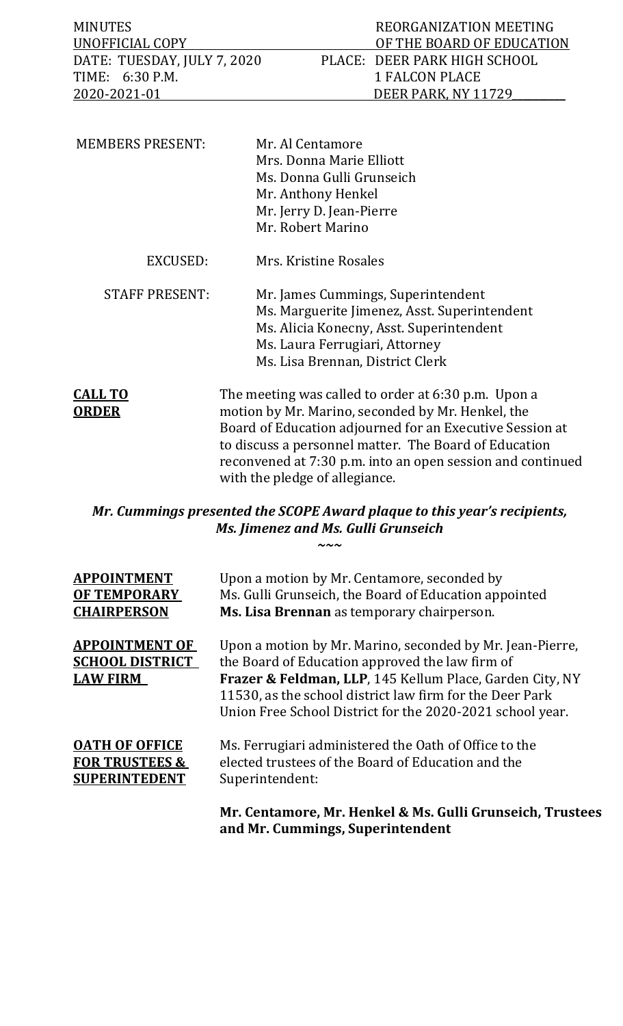| UNOFFICIAL COPY<br>OF THE BOARD OF EDUCATION                | REORGANIZATION MEETING |
|-------------------------------------------------------------|------------------------|
|                                                             |                        |
| DATE: TUESDAY, JULY 7, 2020<br>PLACE: DEER PARK HIGH SCHOOL |                        |
| TIME: 6:30 P.M.<br>1 FALCON PLACE                           |                        |
| 2020-2021-01<br>DEER PARK. NY 11729                         |                        |

| <b>MEMBERS PRESENT:</b>        | Mr. Al Centamore<br>Mrs. Donna Marie Elliott<br>Ms. Donna Gulli Grunseich<br>Mr. Anthony Henkel<br>Mr. Jerry D. Jean-Pierre<br>Mr. Robert Marino                                                     |  |
|--------------------------------|------------------------------------------------------------------------------------------------------------------------------------------------------------------------------------------------------|--|
| EXCUSED:                       | Mrs. Kristine Rosales                                                                                                                                                                                |  |
| <b>STAFF PRESENT:</b>          | Mr. James Cummings, Superintendent<br>Ms. Marguerite Jimenez, Asst. Superintendent<br>Ms. Alicia Konecny, Asst. Superintendent<br>Ms. Laura Ferrugiari, Attorney<br>Ms. Lisa Brennan, District Clerk |  |
| <b>CALL TO</b><br><u>ORDER</u> | The meeting was called to order at 6:30 p.m. Upon a<br>motion by Mr. Marino, seconded by Mr. Henkel, the<br>Board of Education adjourned for an Executive Session at                                 |  |

to discuss a personnel matter. The Board of Education reconvened at 7:30 p.m. into an open session and continued with the pledge of allegiance.

*Mr. Cummings presented the SCOPE Award plaque to this year's recipients, Ms. Jimenez and Ms. Gulli Grunseich ~~~*

| Upon a motion by Mr. Centamore, seconded by<br>Ms. Gulli Grunseich, the Board of Education appointed<br>Ms. Lisa Brennan as temporary chairperson.                                                                                                                                                |
|---------------------------------------------------------------------------------------------------------------------------------------------------------------------------------------------------------------------------------------------------------------------------------------------------|
| Upon a motion by Mr. Marino, seconded by Mr. Jean-Pierre,<br>the Board of Education approved the law firm of<br>Frazer & Feldman, LLP, 145 Kellum Place, Garden City, NY<br>11530, as the school district law firm for the Deer Park<br>Union Free School District for the 2020-2021 school year. |
| Ms. Ferrugiari administered the Oath of Office to the<br>elected trustees of the Board of Education and the<br>Superintendent:<br>Mr. Centamore, Mr. Henkel & Ms. Gulli Grunseich, Trustees                                                                                                       |
|                                                                                                                                                                                                                                                                                                   |

**and Mr. Cummings, Superintendent**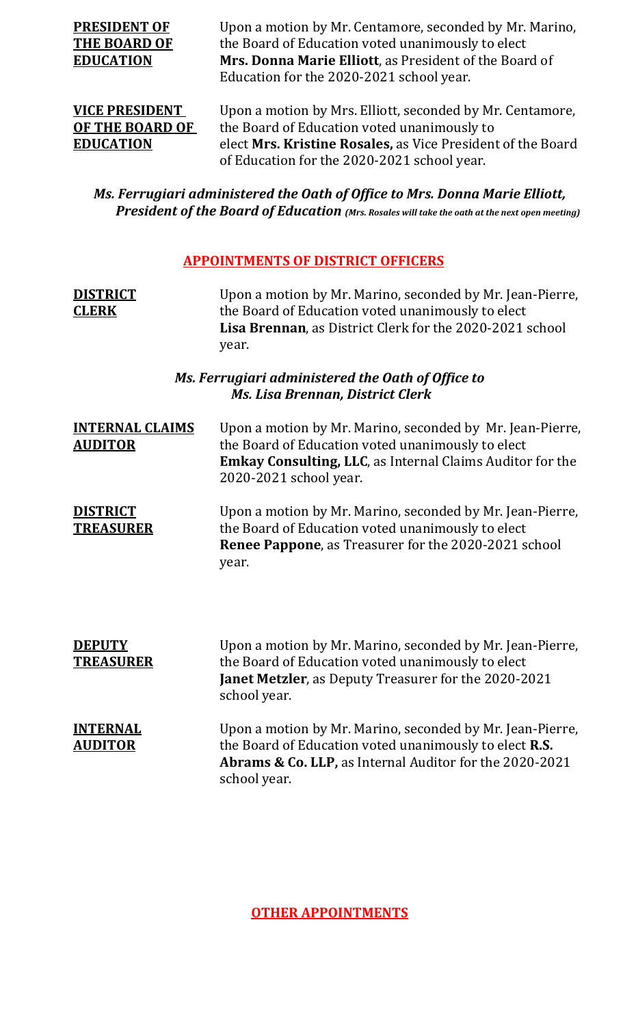**PRESIDENT OF** Upon a motion by Mr. Centamore, seconded by Mr. Marino,<br>**THE BOARD OF** the Board of Education voted unanimously to elect **THE BOARD OF** the Board of Education voted unanimously to elect<br> **EDUCATION** Mrs. Donna Marie Elliott, as President of the Boar **Mrs. Donna Marie Elliott**, as President of the Board of Education for the 2020-2021 school year.

**VICE PRESIDENT** Upon a motion by Mrs. Elliott, seconded by Mr. Centamore, **OF THE BOARD OF** the Board of Education voted unanimously to **OF THE BOARD OF** the Board of Education voted unanimously to<br> **EDUCATION** elect Mrs. Kristine Rosales, as Vice President elect Mrs. Kristine Rosales, as Vice President of the Board of Education for the 2020-2021 school year.

### *Ms. Ferrugiari administered the Oath of Office to Mrs. Donna Marie Elliott, President of the Board of Education (Mrs. Rosales will take the oath at the next open meeting)*

### **APPOINTMENTS OF DISTRICT OFFICERS**

| <b>DISTRICT</b><br><b>CLERK</b>          | Upon a motion by Mr. Marino, seconded by Mr. Jean-Pierre,<br>the Board of Education voted unanimously to elect<br>Lisa Brennan, as District Clerk for the 2020-2021 school<br>year.                       |
|------------------------------------------|-----------------------------------------------------------------------------------------------------------------------------------------------------------------------------------------------------------|
|                                          | Ms. Ferrugiari administered the Oath of Office to<br><b>Ms. Lisa Brennan, District Clerk</b>                                                                                                              |
| <b>INTERNAL CLAIMS</b><br><b>AUDITOR</b> | Upon a motion by Mr. Marino, seconded by Mr. Jean-Pierre,<br>the Board of Education voted unanimously to elect<br>Emkay Consulting, LLC, as Internal Claims Auditor for the<br>2020-2021 school year.     |
| <b>DISTRICT</b><br><b>TREASURER</b>      | Upon a motion by Mr. Marino, seconded by Mr. Jean-Pierre,<br>the Board of Education voted unanimously to elect<br>Renee Pappone, as Treasurer for the 2020-2021 school<br>year.                           |
| <b>DEPUTY</b><br><b>TREASURER</b>        | Upon a motion by Mr. Marino, seconded by Mr. Jean-Pierre,<br>the Board of Education voted unanimously to elect<br><b>Janet Metzler</b> , as Deputy Treasurer for the 2020-2021<br>school year.            |
| <b>INTERNAL</b><br><b>AUDITOR</b>        | Upon a motion by Mr. Marino, seconded by Mr. Jean-Pierre,<br>the Board of Education voted unanimously to elect R.S.<br><b>Abrams &amp; Co. LLP, as Internal Auditor for the 2020-2021</b><br>school year. |

### **OTHER APPOINTMENTS**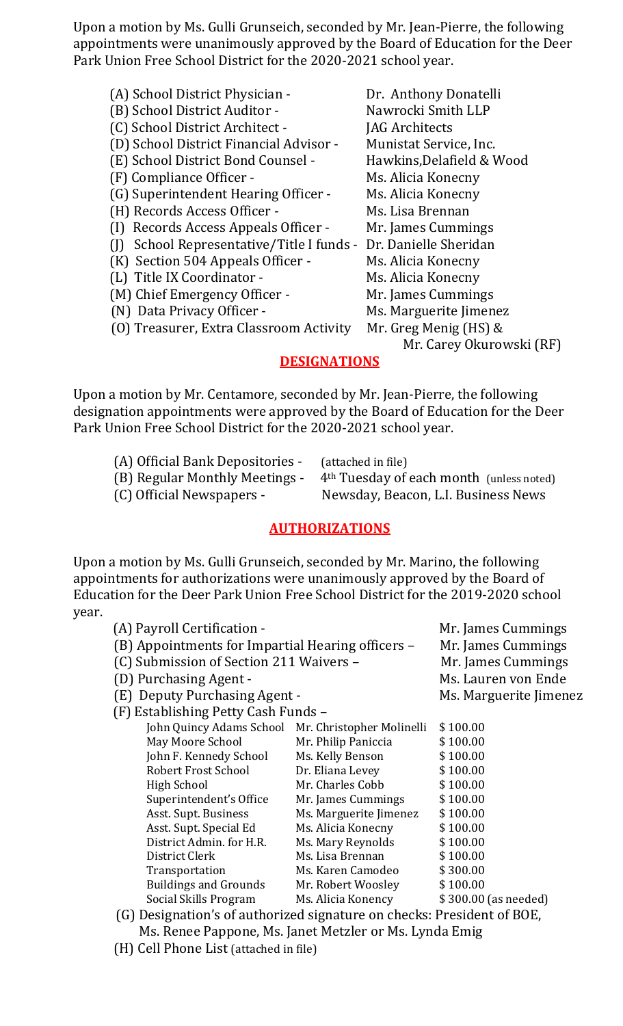Upon a motion by Ms. Gulli Grunseich, seconded by Mr. Jean-Pierre, the following appointments were unanimously approved by the Board of Education for the Deer Park Union Free School District for the 2020-2021 school year.

| (A) School District Physician -         | Dr. Anthony Donatelli     |
|-----------------------------------------|---------------------------|
| (B) School District Auditor -           | Nawrocki Smith LLP        |
| (C) School District Architect -         | JAG Architects            |
| (D) School District Financial Advisor - | Munistat Service, Inc.    |
| (E) School District Bond Counsel -      | Hawkins, Delafield & Wood |
| (F) Compliance Officer -                | Ms. Alicia Konecny        |
| (G) Superintendent Hearing Officer -    | Ms. Alicia Konecny        |
| (H) Records Access Officer -            | Ms. Lisa Brennan          |
| (I) Records Access Appeals Officer -    | Mr. James Cummings        |
| School Representative/Title I funds -   | Dr. Danielle Sheridan     |
| (K) Section 504 Appeals Officer -       | Ms. Alicia Konecny        |
| (L) Title IX Coordinator -              | Ms. Alicia Konecny        |
| (M) Chief Emergency Officer -           | Mr. James Cummings        |
| (N) Data Privacy Officer -              | Ms. Marguerite Jimenez    |
| (0) Treasurer, Extra Classroom Activity | Mr. Greg Menig $(HS)$ &   |
|                                         | Mr. Carey Okurowski (RF)  |
| DECIAN ATIANC                           |                           |

### **DESIGNATIONS**

Upon a motion by Mr. Centamore, seconded by Mr. Jean-Pierre, the following designation appointments were approved by the Board of Education for the Deer Park Union Free School District for the 2020-2021 school year.

| (A) Official Bank Depositories - | (attached in file)                                   |
|----------------------------------|------------------------------------------------------|
| (B) Regular Monthly Meetings -   | 4 <sup>th</sup> Tuesday of each month (unless noted) |
| (C) Official Newspapers -        | Newsday, Beacon, L.I. Business News                  |

### **AUTHORIZATIONS**

Upon a motion by Ms. Gulli Grunseich, seconded by Mr. Marino, the following appointments for authorizations were unanimously approved by the Board of Education for the Deer Park Union Free School District for the 2019-2020 school year.

| (A) Payroll Certification -                        |                        | Mr. James Cummings     |
|----------------------------------------------------|------------------------|------------------------|
| (B) Appointments for Impartial Hearing officers -  |                        | Mr. James Cummings     |
| (C) Submission of Section 211 Waivers -            |                        | Mr. James Cummings     |
| (D) Purchasing Agent -                             |                        | Ms. Lauren von Ende    |
| (E) Deputy Purchasing Agent -                      |                        | Ms. Marguerite Jimenez |
| (F) Establishing Petty Cash Funds -                |                        |                        |
| John Quincy Adams School Mr. Christopher Molinelli |                        | \$100.00               |
| May Moore School                                   | Mr. Philip Paniccia    | \$100.00               |
| John F. Kennedy School                             | Ms. Kelly Benson       | \$100.00               |
| Robert Frost School                                | Dr. Eliana Levey       | \$100.00               |
| <b>High School</b>                                 | Mr. Charles Cobb       | \$100.00               |
| Superintendent's Office                            | Mr. James Cummings     | \$100.00               |
| Asst. Supt. Business                               | Ms. Marguerite Jimenez | \$100.00               |
| Asst. Supt. Special Ed                             | Ms. Alicia Konecny     | \$100.00               |
| District Admin. for H.R.                           | Ms. Mary Reynolds      | \$100.00               |
| District Clerk                                     | Ms. Lisa Brennan       | \$100.00               |
| Transportation                                     | Ms. Karen Camodeo      | \$300.00               |
| <b>Buildings and Grounds</b>                       | Mr. Robert Woosley     | \$100.00               |
| Social Skills Program                              | Ms. Alicia Konency     | \$300.00 (as needed)   |

 (G) Designation's of authorized signature on checks: President of BOE, Ms. Renee Pappone, Ms. Janet Metzler or Ms. Lynda Emig

(H) Cell Phone List (attached in file)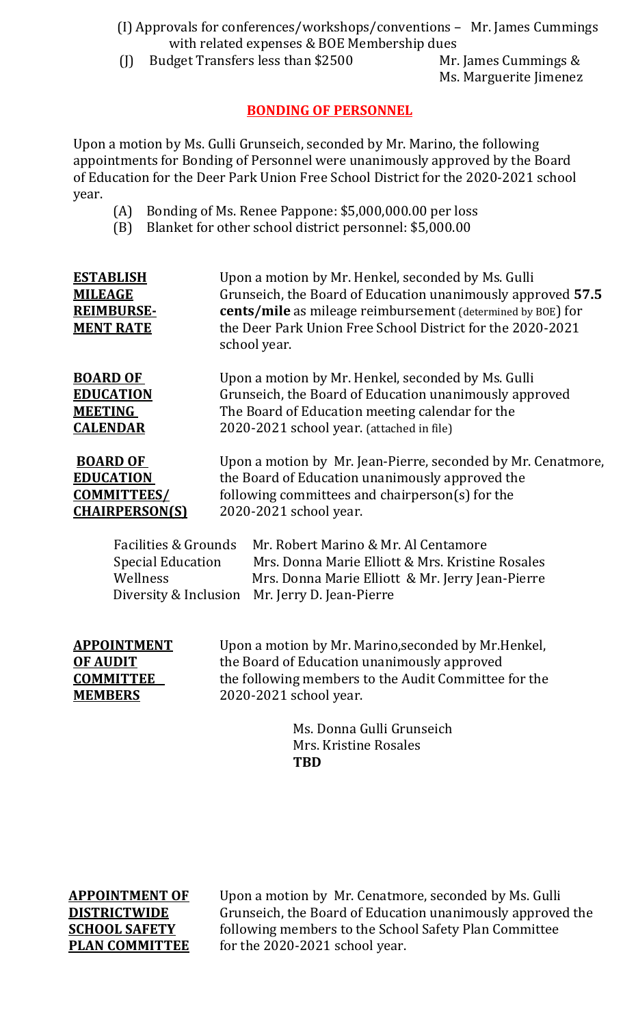### (I) Approvals for conferences/workshops/conventions – Mr. James Cummings with related expenses & BOE Membership dues<br>(J) Budget Transfers less than \$2500 Mr. James Cummings &

Budget Transfers less than \$2500

Ms. Marguerite Jimenez

### **BONDING OF PERSONNEL**

Upon a motion by Ms. Gulli Grunseich, seconded by Mr. Marino, the following appointments for Bonding of Personnel were unanimously approved by the Board of Education for the Deer Park Union Free School District for the 2020-2021 school year.

- (A) Bonding of Ms. Renee Pappone: \$5,000,000.00 per loss<br>(B) Blanket for other school district personnel: \$5,000.00
- Blanket for other school district personnel: \$5,000.00

| <b>ESTABLISH</b><br><b>MILEAGE</b><br><b>REIMBURSE-</b><br><b>MENT RATE</b> | Upon a motion by Mr. Henkel, seconded by Ms. Gulli<br>Grunseich, the Board of Education unanimously approved 57.5<br><b>cents/mile</b> as mileage reimbursement (determined by BOE) for<br>the Deer Park Union Free School District for the 2020-2021<br>school year. |                                                              |  |
|-----------------------------------------------------------------------------|-----------------------------------------------------------------------------------------------------------------------------------------------------------------------------------------------------------------------------------------------------------------------|--------------------------------------------------------------|--|
| <b>BOARD OF</b>                                                             |                                                                                                                                                                                                                                                                       | Upon a motion by Mr. Henkel, seconded by Ms. Gulli           |  |
| <b>EDUCATION</b>                                                            | Grunseich, the Board of Education unanimously approved                                                                                                                                                                                                                |                                                              |  |
| <b>MEETING</b>                                                              | The Board of Education meeting calendar for the                                                                                                                                                                                                                       |                                                              |  |
| <b>CALENDAR</b>                                                             | 2020-2021 school year. (attached in file)                                                                                                                                                                                                                             |                                                              |  |
| <b>BOARD OF</b>                                                             |                                                                                                                                                                                                                                                                       | Upon a motion by Mr. Jean-Pierre, seconded by Mr. Cenatmore, |  |
| <b>EDUCATION</b>                                                            |                                                                                                                                                                                                                                                                       | the Board of Education unanimously approved the              |  |
| <b>COMMITTEES/</b>                                                          |                                                                                                                                                                                                                                                                       | following committees and chairperson(s) for the              |  |
| <b>CHAIRPERSON(S)</b>                                                       |                                                                                                                                                                                                                                                                       | 2020-2021 school year.                                       |  |
| <b>Facilities &amp; Grounds</b>                                             |                                                                                                                                                                                                                                                                       | Mr. Robert Marino & Mr. Al Centamore                         |  |
| <b>Special Education</b>                                                    |                                                                                                                                                                                                                                                                       | Mrs. Donna Marie Elliott & Mrs. Kristine Rosales             |  |
| Wellness                                                                    |                                                                                                                                                                                                                                                                       | Mrs. Donna Marie Elliott & Mr. Jerry Jean-Pierre             |  |

Diversity & Inclusion Mr. Jerry D. Jean-Pierre

| <b>APPOINTMENT</b> |
|--------------------|
| OF AUDIT           |
| <b>COMMITTEE</b>   |
| <b>MEMBERS</b>     |
|                    |

Upon a motion by Mr. Marino, seconded by Mr. Henkel, the Board of Education unanimously approved the following members to the Audit Committee for the 2020-2021 school year.

> Ms. Donna Gulli Grunseich Mrs. Kristine Rosales **TBD**

**APPOINTMENT OF** Upon a motion by Mr. Cenatmore, seconded by Ms. Gulli **DISTRICTWIDE** Grunseich, the Board of Education unanimously approve **DISTRICTWIDE** Grunseich, the Board of Education unanimously approved the **SCHOOL SAFETY** following members to the School Safety Plan Committee **PLAN COMMITTEE** for the 2020-2021 school year. for the 2020-2021 school year.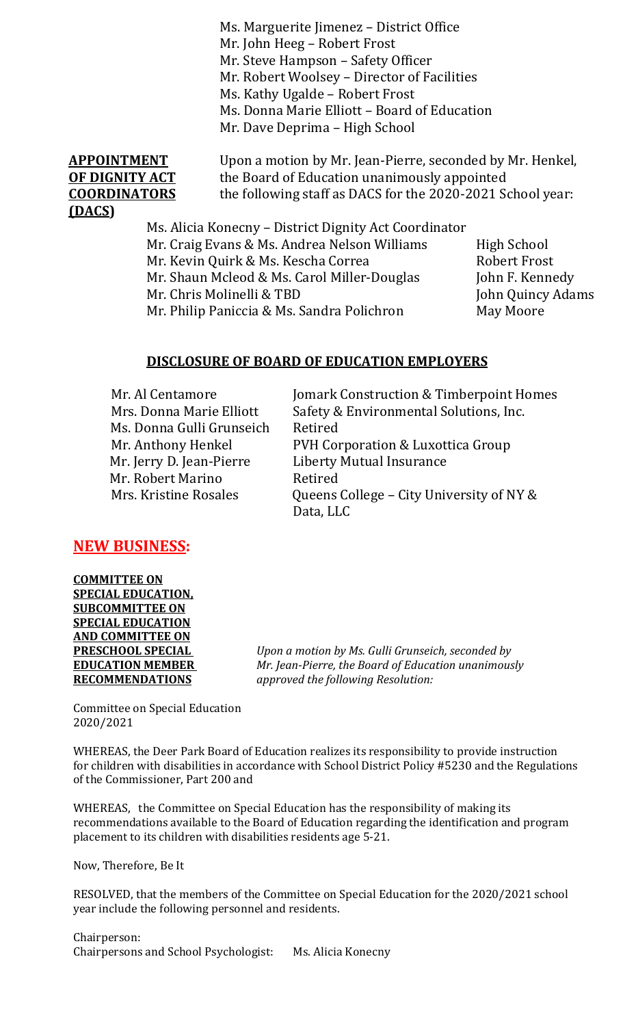Ms. Marguerite Jimenez – District Office Mr. John Heeg – Robert Frost Mr. Steve Hampson – Safety Officer Mr. Robert Woolsey – Director of Facilities Ms. Kathy Ugalde – Robert Frost Ms. Donna Marie Elliott – Board of Education Mr. Dave Deprima – High School

# **(DACS)**

**APPOINTMENT** Upon a motion by Mr. Jean-Pierre, seconded by Mr. Henkel,<br>**OF DIGNITY ACT** the Board of Education unanimously appointed **OF DIGNITY ACT** the Board of Education unanimously appointed<br>**COORDINATORS** the following staff as DACS for the 2020-2021 Sq the following staff as DACS for the 2020-2021 School year:

> Ms. Alicia Konecny – District Dignity Act Coordinator Mr. Craig Evans & Ms. Andrea Nelson Williams High School Mr. Kevin Quirk & Ms. Kescha Correa Robert Frost<br>Mr. Shaun Mcleod & Ms. Carol Miller-Douglas John F. Kennedy Mr. Shaun Mcleod & Ms. Carol Miller-Douglas John F. Kennedy Mr. Chris Molinelli & TBD<br>Mr. Philip Paniccia & Ms. Sandra Polichron May Moore Mr. Philip Paniccia & Ms. Sandra Polichron

### **DISCLOSURE OF BOARD OF EDUCATION EMPLOYERS**

| Mr. Al Centamore          | Jomark Construction & Timberpoint Homes  |
|---------------------------|------------------------------------------|
| Mrs. Donna Marie Elliott  | Safety & Environmental Solutions, Inc.   |
| Ms. Donna Gulli Grunseich | Retired                                  |
| Mr. Anthony Henkel        | PVH Corporation & Luxottica Group        |
| Mr. Jerry D. Jean-Pierre  | <b>Liberty Mutual Insurance</b>          |
| Mr. Robert Marino         | Retired                                  |
| Mrs. Kristine Rosales     | Queens College - City University of NY & |
|                           | Data, LLC                                |

### **NEW BUSINESS:**

**COMMITTEE ON SPECIAL EDUCATION, SUBCOMMITTEE ON SPECIAL EDUCATION AND COMMITTEE ON** 

**PRESCHOOL SPECIAL** *Upon a motion by Ms. Gulli Grunseich, seconded by*  **EDUCATION MEMBER** *Mr. Jean-Pierre, the Board of Education unanimously*  **RECOMMENDATIONS** *approved the following Resolution:*

Committee on Special Education 2020/2021

WHEREAS, the Deer Park Board of Education realizes its responsibility to provide instruction for children with disabilities in accordance with School District Policy #5230 and the Regulations of the Commissioner, Part 200 and

WHEREAS, the Committee on Special Education has the responsibility of making its recommendations available to the Board of Education regarding the identification and program placement to its children with disabilities residents age 5-21.

Now, Therefore, Be It

RESOLVED, that the members of the Committee on Special Education for the 2020/2021 school year include the following personnel and residents.

Chairperson: Chairpersons and School Psychologist: Ms. Alicia Konecny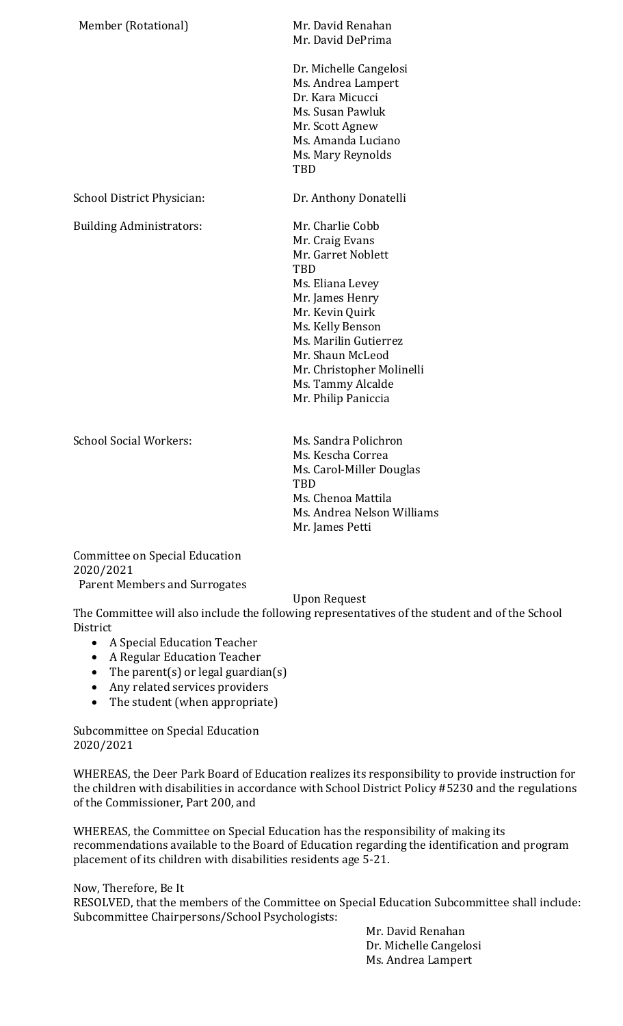Member (Rotational) Mr. David Renahan

Mr. David DePrima

Dr. Michelle Cangelosi Ms. Andrea Lampert Dr. Kara Micucci Ms. Susan Pawluk Mr. Scott Agnew Ms. Amanda Luciano Ms. Mary Reynolds TBD

School District Physician: Dr. Anthony Donatelli

Building Administrators: Mr. Charlie Cobb

Mr. Craig Evans Mr. Garret Noblett TBD Ms. Eliana Levey Mr. James Henry Mr. Kevin Quirk Ms. Kelly Benson Ms. Marilin Gutierrez Mr. Shaun McLeod Mr. Christopher Molinelli Ms. Tammy Alcalde Mr. Philip Paniccia

School Social Workers: Ms. Sandra Polichron

Ms. Kescha Correa Ms. Carol-Miller Douglas **TBD** Ms. Chenoa Mattila Ms. Andrea Nelson Williams Mr. James Petti

Committee on Special Education 2020/2021 Parent Members and Surrogates

### Upon Request

The Committee will also include the following representatives of the student and of the School **District** 

- A Special Education Teacher
- A Regular Education Teacher
- The parent(s) or legal guardian(s)
- Any related services providers
- The student (when appropriate)

Subcommittee on Special Education 2020/2021

WHEREAS, the Deer Park Board of Education realizes its responsibility to provide instruction for the children with disabilities in accordance with School District Policy #5230 and the regulations of the Commissioner, Part 200, and

WHEREAS, the Committee on Special Education has the responsibility of making its recommendations available to the Board of Education regarding the identification and program placement of its children with disabilities residents age 5-21.

Now, Therefore, Be It

RESOLVED, that the members of the Committee on Special Education Subcommittee shall include: Subcommittee Chairpersons/School Psychologists:

> Mr. David Renahan Dr. Michelle Cangelosi Ms. Andrea Lampert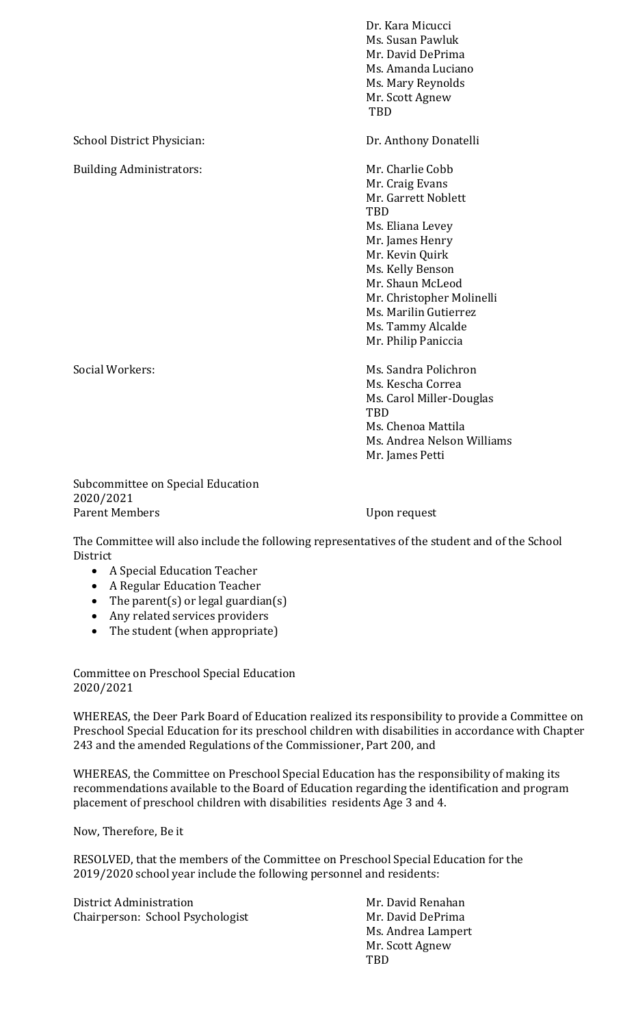Dr. Kara Micucci Ms. Susan Pawluk Mr. David DePrima Ms. Amanda Luciano Ms. Mary Reynolds Mr. Scott Agnew TBD School District Physician: Dr. Anthony Donatelli Building Administrators: Mr. Charlie Cobb Mr. Craig Evans Mr. Garrett Noblett **TRD** Ms. Eliana Levey Mr. James Henry Mr. Kevin Quirk Ms. Kelly Benson Mr. Shaun McLeod Mr. Christopher Molinelli Ms. Marilin Gutierrez Ms. Tammy Alcalde Mr. Philip Paniccia Social Workers: The Music Control of the Music Sandra Polichron Ms. Kescha Correa Ms. Carol Miller-Douglas **TRD** Ms. Chenoa Mattila Ms. Andrea Nelson Williams

Subcommittee on Special Education 2020/2021 Parent Members Upon request

Mr. James Petti

The Committee will also include the following representatives of the student and of the School District

- A Special Education Teacher
- A Regular Education Teacher
- The parent(s) or legal guardian(s)
- Any related services providers
- The student (when appropriate)

Committee on Preschool Special Education 2020/2021

WHEREAS, the Deer Park Board of Education realized its responsibility to provide a Committee on Preschool Special Education for its preschool children with disabilities in accordance with Chapter 243 and the amended Regulations of the Commissioner, Part 200, and

WHEREAS, the Committee on Preschool Special Education has the responsibility of making its recommendations available to the Board of Education regarding the identification and program placement of preschool children with disabilities residents Age 3 and 4.

Now, Therefore, Be it

RESOLVED, that the members of the Committee on Preschool Special Education for the 2019/2020 school year include the following personnel and residents:

District Administration Mr. David Renahan Chairperson: School Psychologist

Ms. Andrea Lampert Mr. Scott Agnew TBD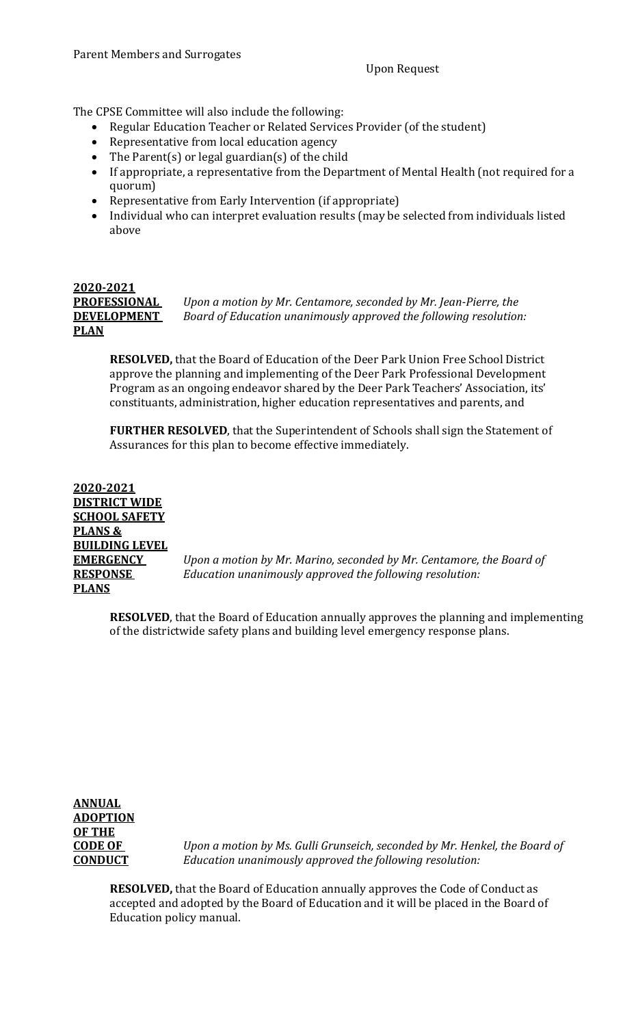The CPSE Committee will also include the following:

- Regular Education Teacher or Related Services Provider (of the student)
- Representative from local education agency
- The Parent(s) or legal guardian(s) of the child
- If appropriate, a representative from the Department of Mental Health (not required for a quorum)
- Representative from Early Intervention (if appropriate)
- Individual who can interpret evaluation results (may be selected from individuals listed above

### **2020-2021 PLAN**

**PROFESSIONAL** *Upon a motion by Mr. Centamore, seconded by Mr. Jean-Pierre, the*  **DEVELOPMENT** *Board of Education unanimously approved the following resolution:*

**RESOLVED,** that the Board of Education of the Deer Park Union Free School District approve the planning and implementing of the Deer Park Professional Development Program as an ongoing endeavor shared by the Deer Park Teachers' Association, its' constituants, administration, higher education representatives and parents, and

**FURTHER RESOLVED**, that the Superintendent of Schools shall sign the Statement of Assurances for this plan to become effective immediately.

**2020-2021 DISTRICT WIDE SCHOOL SAFETY PLANS & BUILDING LEVEL PLANS** 

**EMERGENCY** *Upon a motion by Mr. Marino, seconded by Mr. Centamore, the Board of*  **RESPONSE** *Education unanimously approved the following resolution:*

**RESOLVED**, that the Board of Education annually approves the planning and implementing of the districtwide safety plans and building level emergency response plans.

### **ANNUAL ADOPTION OF THE**

**CODE OF** *Upon a motion by Ms. Gulli Grunseich, seconded by Mr. Henkel, the Board of* **CONDUCT** *Education unanimously approved the following resolution:*

**RESOLVED,** that the Board of Education annually approves the Code of Conduct as accepted and adopted by the Board of Education and it will be placed in the Board of Education policy manual.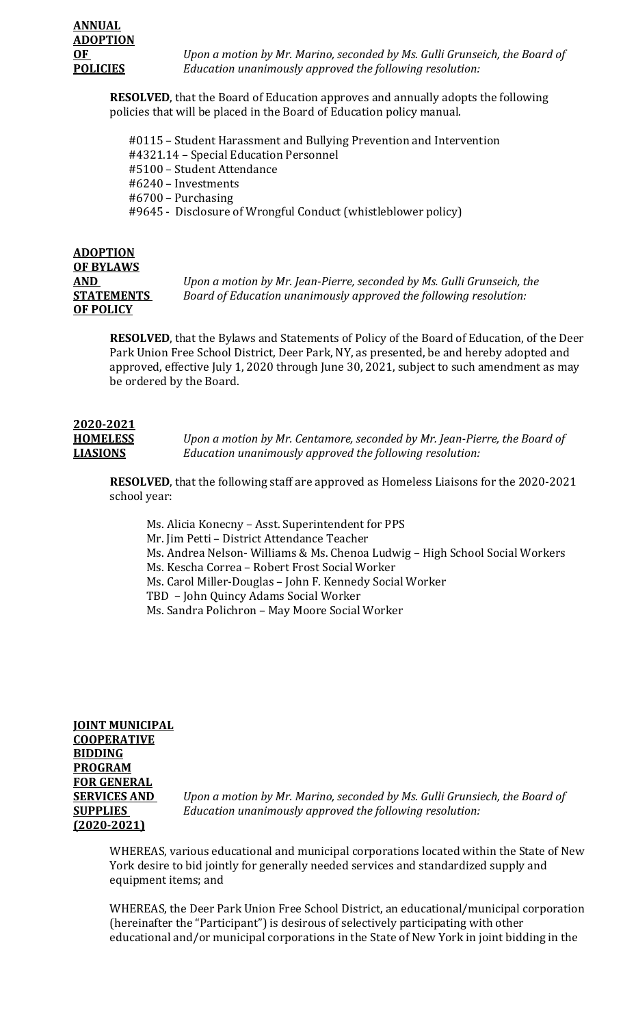**OF** *Upon a motion by Mr. Marino, seconded by Ms. Gulli Grunseich, the Board of* **POLICIES** *Education unanimously approved the following resolution:*

**RESOLVED**, that the Board of Education approves and annually adopts the following policies that will be placed in the Board of Education policy manual.

 #0115 – Student Harassment and Bullying Prevention and Intervention #4321.14 – Special Education Personnel #5100 – Student Attendance #6240 – Investments #6700 – Purchasing #9645 - Disclosure of Wrongful Conduct (whistleblower policy)

### **ADOPTION OF BYLAWS OF POLICY**

**AND** *Upon a motion by Mr. Jean-Pierre, seconded by Ms. Gulli Grunseich, the*  **STATEMENTS** *Board of Education unanimously approved the following resolution:*

**RESOLVED**, that the Bylaws and Statements of Policy of the Board of Education, of the Deer Park Union Free School District, Deer Park, NY, as presented, be and hereby adopted and approved, effective July 1, 2020 through June 30, 2021, subject to such amendment as may be ordered by the Board.

## **2020-2021**

**HOMELESS** *Upon a motion by Mr. Centamore, seconded by Mr. Jean-Pierre, the Board of* **LIASIONS** *Education unanimously approved the following resolution:*

**RESOLVED**, that the following staff are approved as Homeless Liaisons for the 2020-2021 school year:

Ms. Alicia Konecny – Asst. Superintendent for PPS Mr. Jim Petti – District Attendance Teacher Ms. Andrea Nelson- Williams & Ms. Chenoa Ludwig – High School Social Workers Ms. Kescha Correa – Robert Frost Social Worker Ms. Carol Miller-Douglas – John F. Kennedy Social Worker TBD – John Quincy Adams Social Worker Ms. Sandra Polichron – May Moore Social Worker

**JOINT MUNICIPAL COOPERATIVE BIDDING PROGRAM FOR GENERAL (2020-2021)**

**SERVICES AND** *Upon a motion by Mr. Marino, seconded by Ms. Gulli Grunsiech, the Board of* **SUPPLIES** *Education unanimously approved the following resolution:*

WHEREAS, various educational and municipal corporations located within the State of New York desire to bid jointly for generally needed services and standardized supply and equipment items; and

WHEREAS, the Deer Park Union Free School District, an educational/municipal corporation (hereinafter the "Participant") is desirous of selectively participating with other educational and/or municipal corporations in the State of New York in joint bidding in the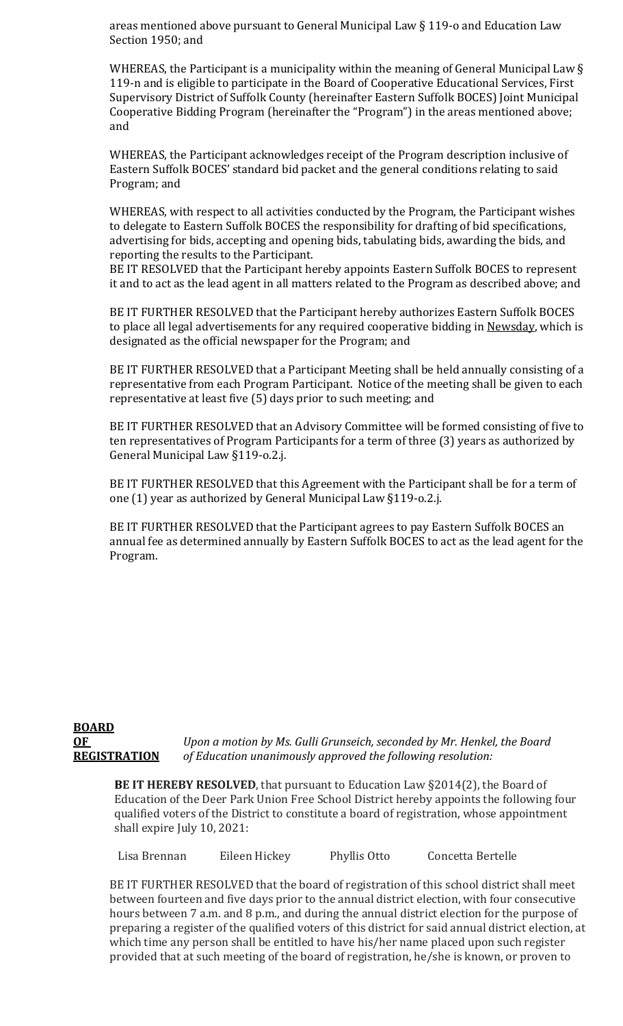areas mentioned above pursuant to General Municipal Law § 119-o and Education Law Section 1950; and

WHEREAS, the Participant is a municipality within the meaning of General Municipal Law § 119-n and is eligible to participate in the Board of Cooperative Educational Services, First Supervisory District of Suffolk County (hereinafter Eastern Suffolk BOCES) Joint Municipal Cooperative Bidding Program (hereinafter the "Program") in the areas mentioned above; and

WHEREAS, the Participant acknowledges receipt of the Program description inclusive of Eastern Suffolk BOCES' standard bid packet and the general conditions relating to said Program; and

WHEREAS, with respect to all activities conducted by the Program, the Participant wishes to delegate to Eastern Suffolk BOCES the responsibility for drafting of bid specifications, advertising for bids, accepting and opening bids, tabulating bids, awarding the bids, and reporting the results to the Participant.

BE IT RESOLVED that the Participant hereby appoints Eastern Suffolk BOCES to represent it and to act as the lead agent in all matters related to the Program as described above; and

BE IT FURTHER RESOLVED that the Participant hereby authorizes Eastern Suffolk BOCES to place all legal advertisements for any required cooperative bidding in Newsday, which is designated as the official newspaper for the Program; and

BE IT FURTHER RESOLVED that a Participant Meeting shall be held annually consisting of a representative from each Program Participant. Notice of the meeting shall be given to each representative at least five (5) days prior to such meeting; and

BE IT FURTHER RESOLVED that an Advisory Committee will be formed consisting of five to ten representatives of Program Participants for a term of three (3) years as authorized by General Municipal Law §119-o.2.j.

BE IT FURTHER RESOLVED that this Agreement with the Participant shall be for a term of one (1) year as authorized by General Municipal Law §119-o.2.j.

BE IT FURTHER RESOLVED that the Participant agrees to pay Eastern Suffolk BOCES an annual fee as determined annually by Eastern Suffolk BOCES to act as the lead agent for the Program.

#### **BOARD OF** *Upon a motion by Ms. Gulli Grunseich, seconded by Mr. Henkel, the Board* **REGISTRATION** *of Education unanimously approved the following resolution:*

**BE IT HEREBY RESOLVED**, that pursuant to Education Law §2014(2), the Board of Education of the Deer Park Union Free School District hereby appoints the following four qualified voters of the District to constitute a board of registration, whose appointment shall expire July 10, 2021:

Lisa Brennan Eileen Hickey Phyllis Otto Concetta Bertelle

BE IT FURTHER RESOLVED that the board of registration of this school district shall meet between fourteen and five days prior to the annual district election, with four consecutive hours between 7 a.m. and 8 p.m., and during the annual district election for the purpose of preparing a register of the qualified voters of this district for said annual district election, at which time any person shall be entitled to have his/her name placed upon such register provided that at such meeting of the board of registration, he/she is known, or proven to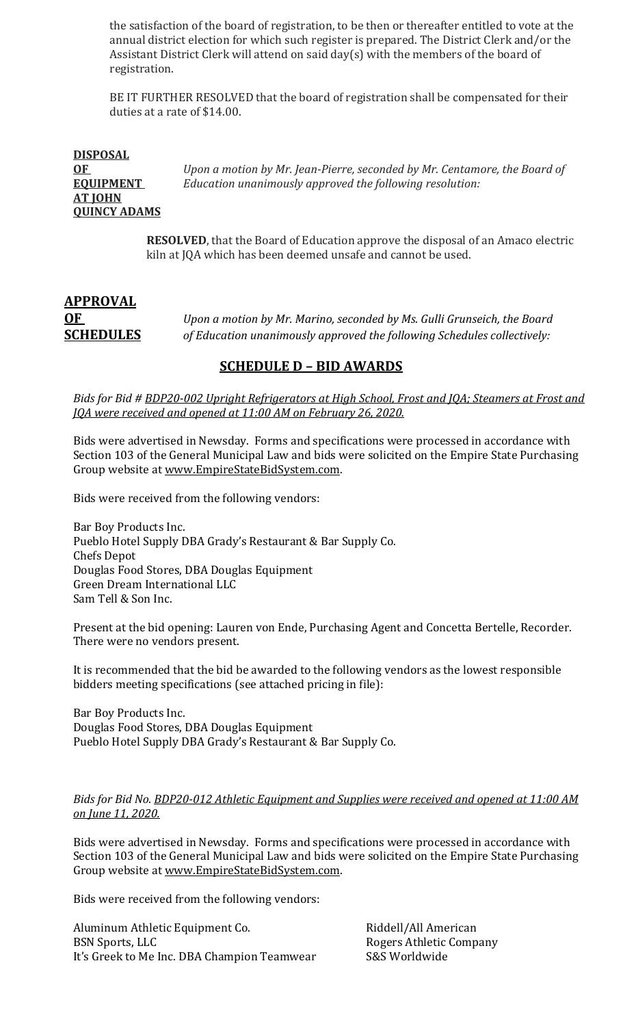the satisfaction of the board of registration, to be then or thereafter entitled to vote at the annual district election for which such register is prepared. The District Clerk and/or the Assistant District Clerk will attend on said day(s) with the members of the board of registration.

BE IT FURTHER RESOLVED that the board of registration shall be compensated for their duties at a rate of \$14.00.

| <b>DISPOSAL</b>     |                                                                           |
|---------------------|---------------------------------------------------------------------------|
| 0F                  | Upon a motion by Mr. Jean-Pierre, seconded by Mr. Centamore, the Board of |
| <b>EQUIPMENT</b>    | Education unanimously approved the following resolution:                  |
| <b>AT JOHN</b>      |                                                                           |
| <b>OUINCY ADAMS</b> |                                                                           |

**RESOLVED**, that the Board of Education approve the disposal of an Amaco electric kiln at JQA which has been deemed unsafe and cannot be used.

### **APPROVAL OF** *Upon a motion by Mr. Marino, seconded by Ms. Gulli Grunseich, the Board*  **SCHEDULES** *of Education unanimously approved the following Schedules collectively:*

### **SCHEDULE D – BID AWARDS**

*Bids for Bid # BDP20-002 Upright Refrigerators at High School, Frost and JQA; Steamers at Frost and JQA were received and opened at 11:00 AM on February 26, 2020.*

Bids were advertised in Newsday. Forms and specifications were processed in accordance with Section 103 of the General Municipal Law and bids were solicited on the Empire State Purchasing Group website at [www.EmpireStateBidSystem.com.](http://www.empirestatebidsystem.com/) 

Bids were received from the following vendors:

Bar Boy Products Inc. Pueblo Hotel Supply DBA Grady's Restaurant & Bar Supply Co. Chefs Depot Douglas Food Stores, DBA Douglas Equipment Green Dream International LLC Sam Tell & Son Inc.

Present at the bid opening: Lauren von Ende, Purchasing Agent and Concetta Bertelle, Recorder. There were no vendors present.

It is recommended that the bid be awarded to the following vendors as the lowest responsible bidders meeting specifications (see attached pricing in file):

Bar Boy Products Inc. Douglas Food Stores, DBA Douglas Equipment Pueblo Hotel Supply DBA Grady's Restaurant & Bar Supply Co.

#### *Bids for Bid No. BDP20-012 Athletic Equipment and Supplies were received and opened at 11:00 AM on June 11, 2020.*

Bids were advertised in Newsday. Forms and specifications were processed in accordance with Section 103 of the General Municipal Law and bids were solicited on the Empire State Purchasing Group website at [www.EmpireStateBidSystem.com.](http://www.empirestatebidsystem.com/) 

Bids were received from the following vendors:

Aluminum Athletic Equipment Co. Riddell/All American It's Greek to Me Inc. DBA Champion Teamwear

Rogers Athletic Company<br>S&S Worldwide